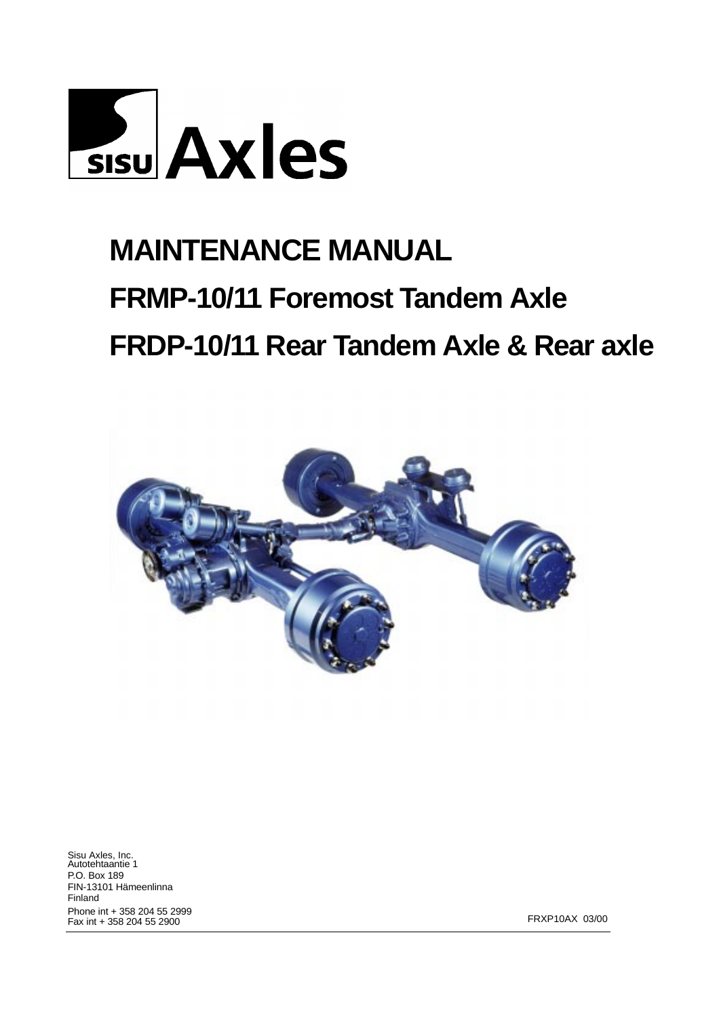

# **MAINTENANCE MANUAL FRMP-10/11 Foremost Tandem Axle FRDP-10/11 Rear Tandem Axle & Rear axle**



Sisu Axles, Inc. Autotehtaantie 1 P.O. Box 189 FIN-13101 Hämeenlinna Phone int + 358 204 55 2999 Fax int + 358 204 55 2900 Finland

FRXP10AX 03/00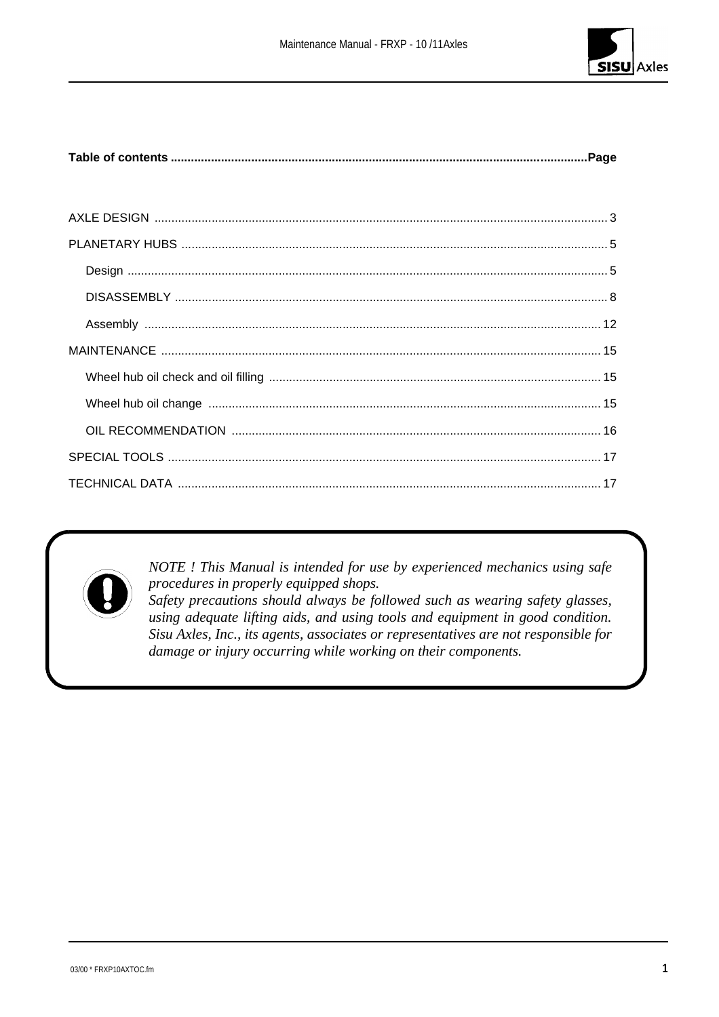



NOTE ! This Manual is intended for use by experienced mechanics using safe procedures in properly equipped shops.

Safety precautions should always be followed such as wearing safety glasses, using adequate lifting aids, and using tools and equipment in good condition. Sisu Axles, Inc., its agents, associates or representatives are not responsible for damage or injury occurring while working on their components.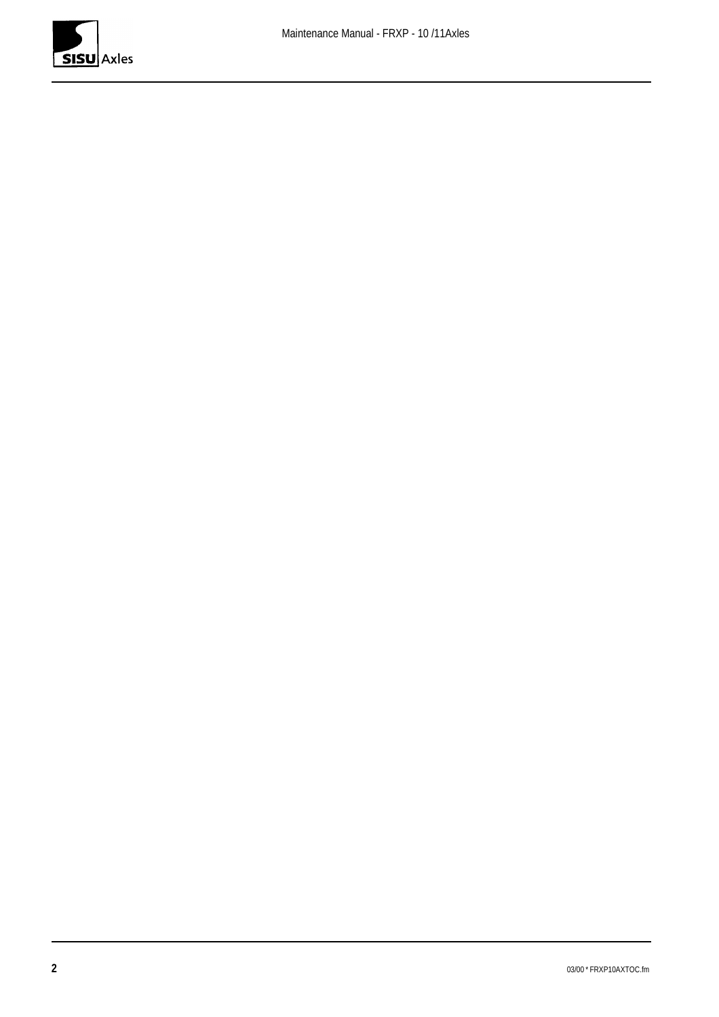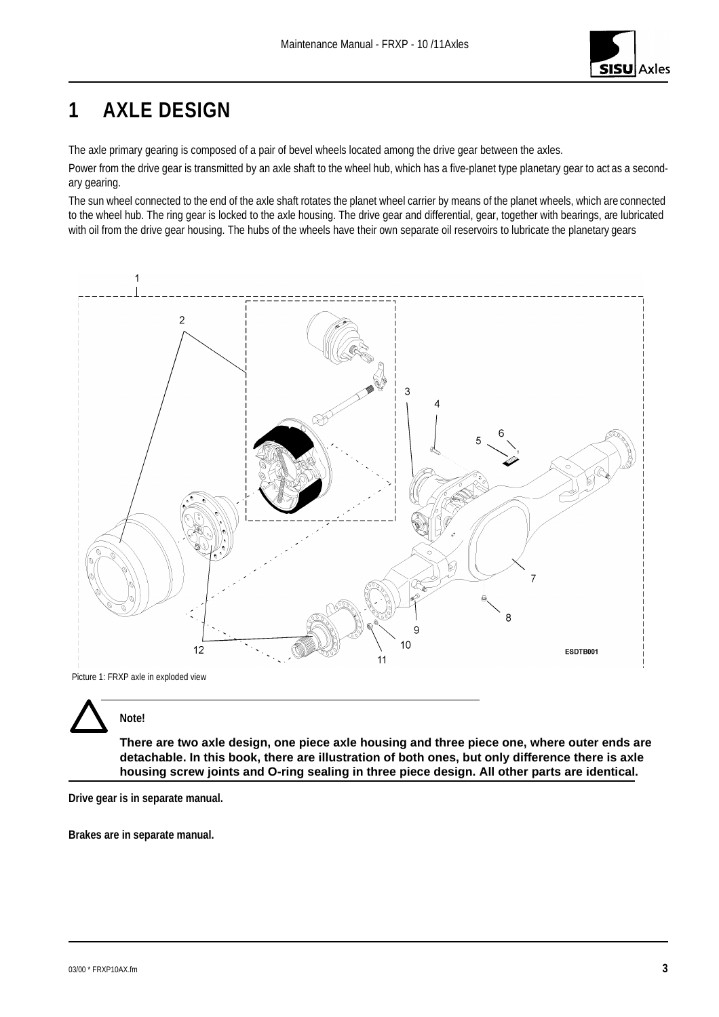

# <span id="page-4-0"></span>**1 AXLE DESIGN**

The axle primary gearing is composed of a pair of bevel wheels located among the drive gear between the axles.

Power from the drive gear is transmitted by an axle shaft to the wheel hub, which has a five-planet type planetary gear to act as a secondary gearing.

The sun wheel connected to the end of the axle shaft rotates the planet wheel carrier by means of the planet wheels, which are connected to the wheel hub. The ring gear is locked to the axle housing. The drive gear and differential, gear, together with bearings, are lubricated with oil from the drive gear housing. The hubs of the wheels have their own separate oil reservoirs to lubricate the planetary gears



Picture 1: FRXP axle in exploded view



**Note!**

**There are two axle design, one piece axle housing and three piece one, where outer ends are detachable. In this book, there are illustration of both ones, but only difference there is axle housing screw joints and O-ring sealing in three piece design. All other parts are identical.**

**Drive gear is in separate manual.**

**Brakes are in separate manual.**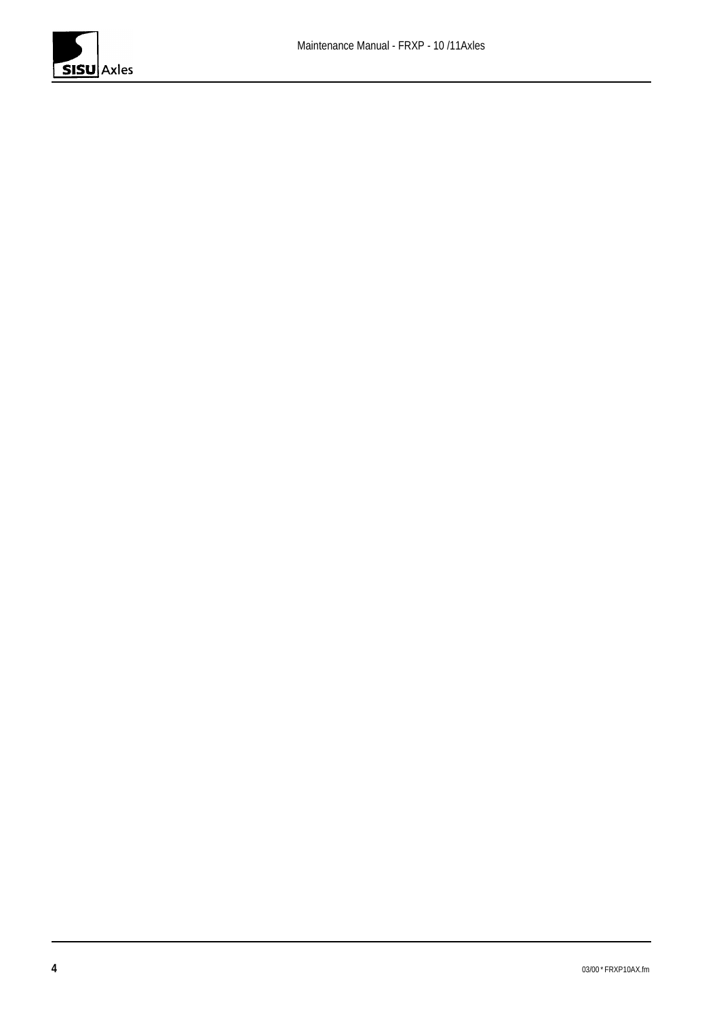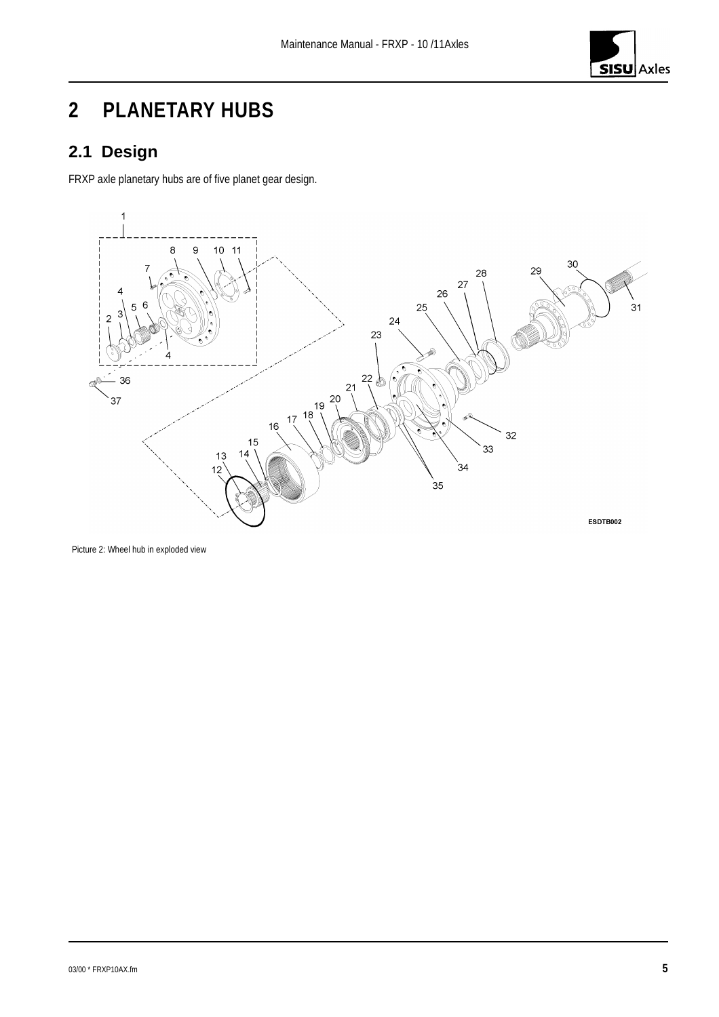

# <span id="page-6-0"></span>**2 PLANETARY HUBS**

#### <span id="page-6-1"></span>**2.1 Design**

FRXP axle planetary hubs are of five planet gear design.



Picture 2: Wheel hub in exploded view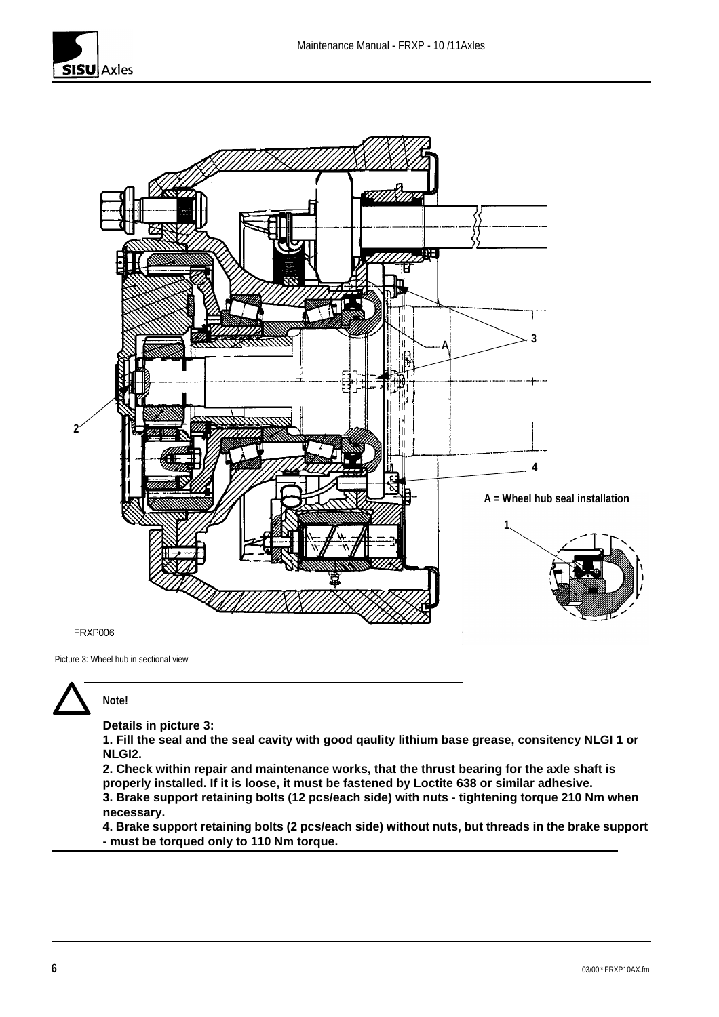



<span id="page-7-0"></span>Picture 3: Wheel hub in sectional view

**Note!**



**Details in picture [3:](#page-7-0)**

**1. Fill the seal and the seal cavity with good qaulity lithium base grease, consitency NLGI 1 or NLGI2.**

**2. Check within repair and maintenance works, that the thrust bearing for the axle shaft is properly installed. If it is loose, it must be fastened by Loctite 638 or similar adhesive. 3. Brake support retaining bolts (12 pcs/each side) with nuts - tightening torque 210 Nm when necessary.**

**4. Brake support retaining bolts (2 pcs/each side) without nuts, but threads in the brake support - must be torqued only to 110 Nm torque.**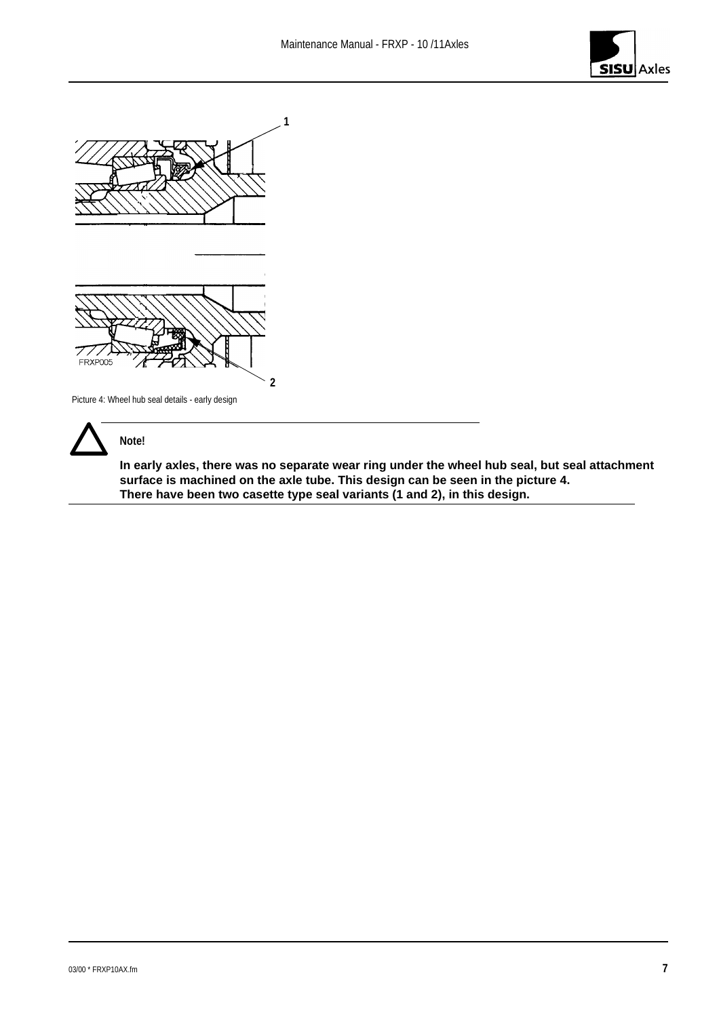



<span id="page-8-0"></span>

**In early axles, there was no separate wear ring under the wheel hub seal, but seal attachment surface is machined on the axle tube. This design can be seen in the picture [4](#page-8-0). There have been two casette type seal variants (1 and 2), in this design.**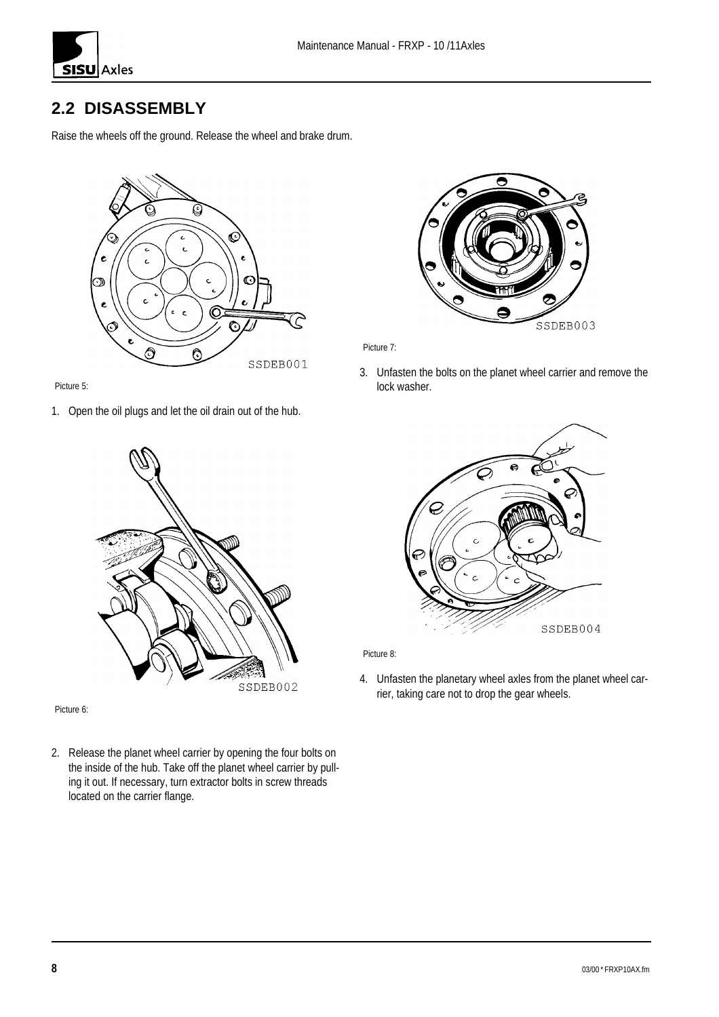

#### <span id="page-9-0"></span>**2.2 DISASSEMBLY**

Raise the wheels off the ground. Release the wheel and brake drum.



Picture 5:

1. Open the oil plugs and let the oil drain out of the hub.



Picture 6:

2. Release the planet wheel carrier by opening the four bolts on the inside of the hub. Take off the planet wheel carrier by pulling it out. If necessary, turn extractor bolts in screw threads located on the carrier flange.



Picture 7:

3. Unfasten the bolts on the planet wheel carrier and remove the lock washer.



Picture 8:

4. Unfasten the planetary wheel axles from the planet wheel carrier, taking care not to drop the gear wheels.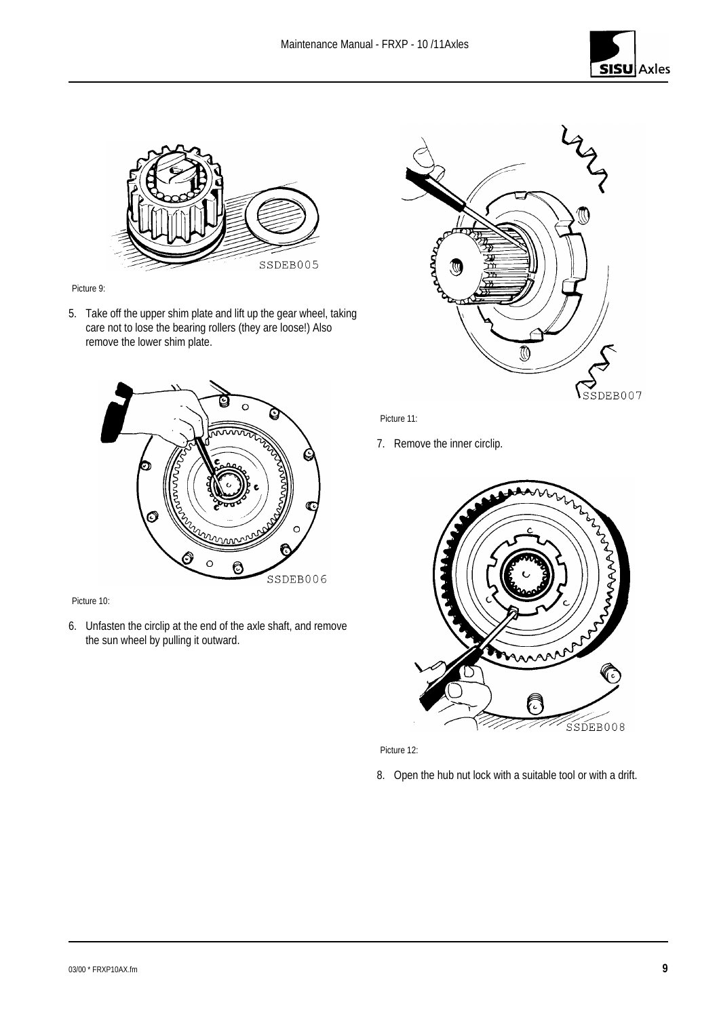



Picture 9:

5. Take off the upper shim plate and lift up the gear wheel, taking care not to lose the bearing rollers (they are loose!) Also remove the lower shim plate.



Picture 10:

6. Unfasten the circlip at the end of the axle shaft, and remove the sun wheel by pulling it outward.



Picture 11:

7. Remove the inner circlip.



Picture 12:

8. Open the hub nut lock with a suitable tool or with a drift.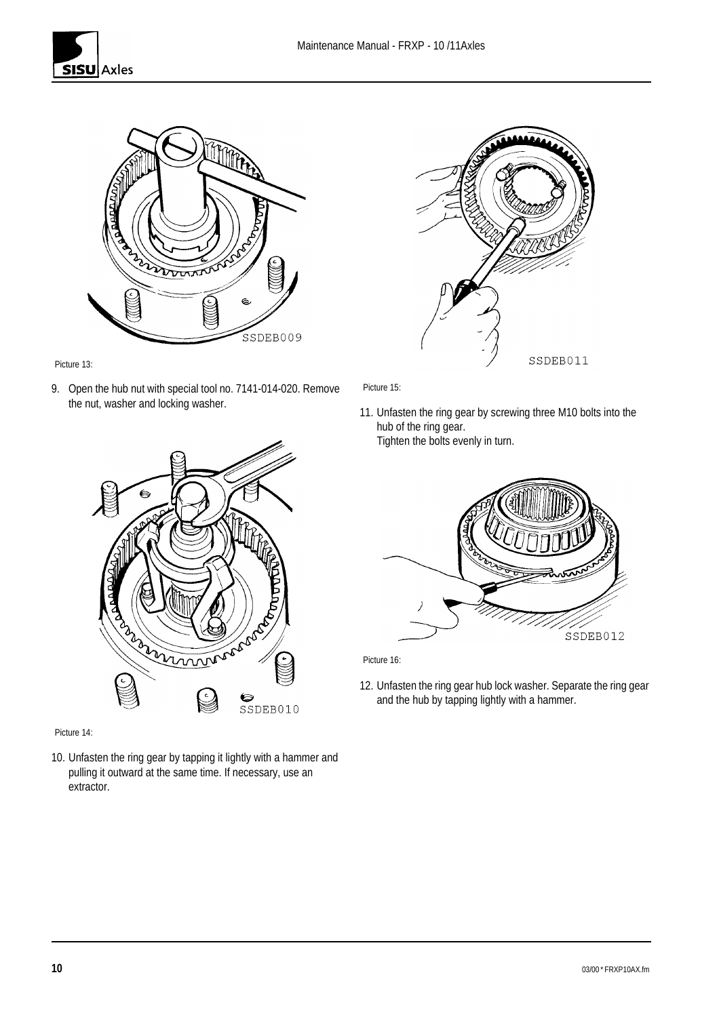



Picture 13:

9. Open the hub nut with special tool no. 7141-014-020. Remove the nut, washer and locking washer.



Picture 14:

10. Unfasten the ring gear by tapping it lightly with a hammer and pulling it outward at the same time. If necessary, use an extractor.



Picture 15:

- 11. Unfasten the ring gear by screwing three M10 bolts into the hub of the ring gear.
	- Tighten the bolts evenly in turn.



Picture 16:

12. Unfasten the ring gear hub lock washer. Separate the ring gear and the hub by tapping lightly with a hammer.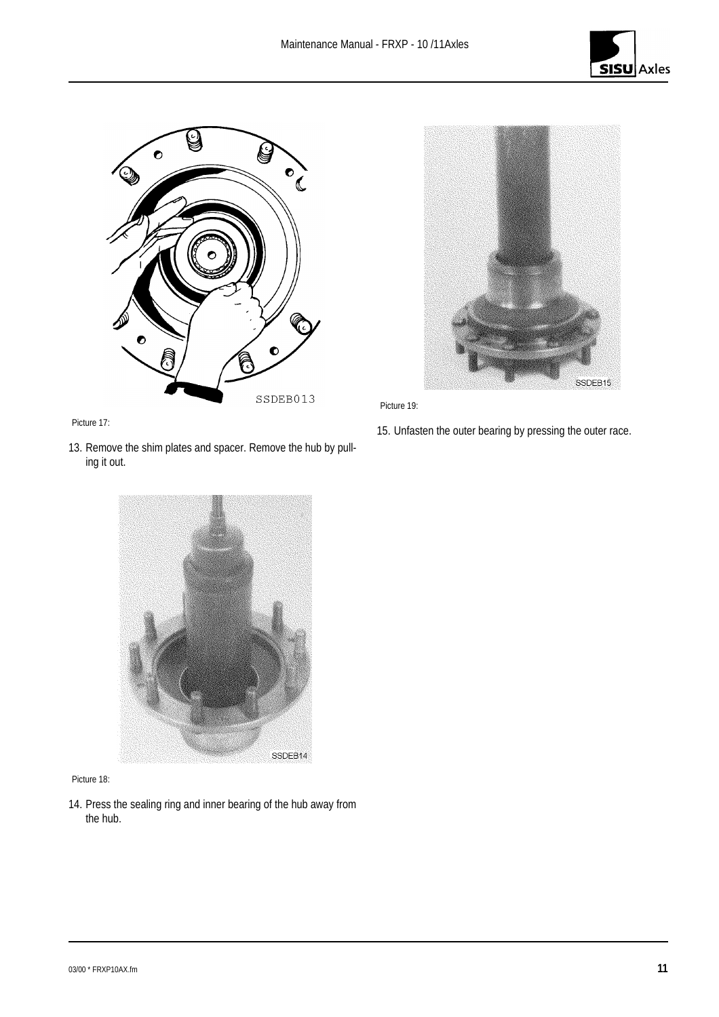



Picture 17:

13. Remove the shim plates and spacer. Remove the hub by pulling it out.



Picture 18:

14. Press the sealing ring and inner bearing of the hub away from the hub.



Picture 19:

15. Unfasten the outer bearing by pressing the outer race.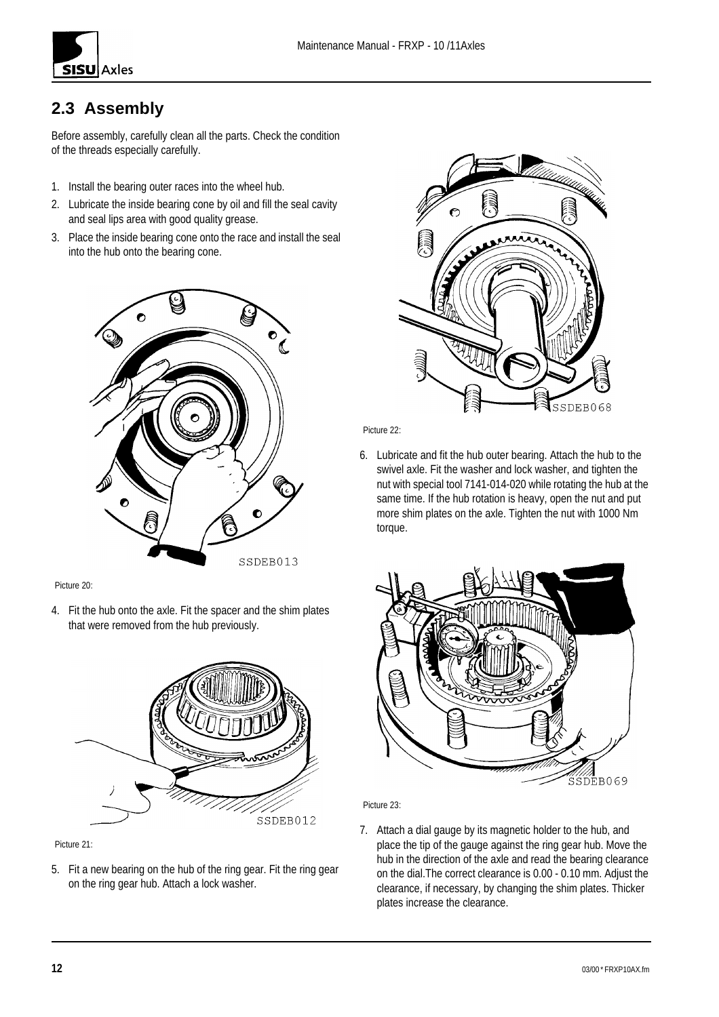

### <span id="page-13-0"></span>**2.3 Assembly**

Before assembly, carefully clean all the parts. Check the condition of the threads especially carefully.

- 1. Install the bearing outer races into the wheel hub.
- 2. Lubricate the inside bearing cone by oil and fill the seal cavity and seal lips area with good quality grease.
- 3. Place the inside bearing cone onto the race and install the seal into the hub onto the bearing cone.



Picture 20:

4. Fit the hub onto the axle. Fit the spacer and the shim plates that were removed from the hub previously.



Picture 21:

5. Fit a new bearing on the hub of the ring gear. Fit the ring gear on the ring gear hub. Attach a lock washer.



Picture 22:

6. Lubricate and fit the hub outer bearing. Attach the hub to the swivel axle. Fit the washer and lock washer, and tighten the nut with special tool 7141-014-020 while rotating the hub at the same time. If the hub rotation is heavy, open the nut and put more shim plates on the axle. Tighten the nut with 1000 Nm torque.



Picture 23:

7. Attach a dial gauge by its magnetic holder to the hub, and place the tip of the gauge against the ring gear hub. Move the hub in the direction of the axle and read the bearing clearance on the dial.The correct clearance is 0.00 - 0.10 mm. Adjust the clearance, if necessary, by changing the shim plates. Thicker plates increase the clearance.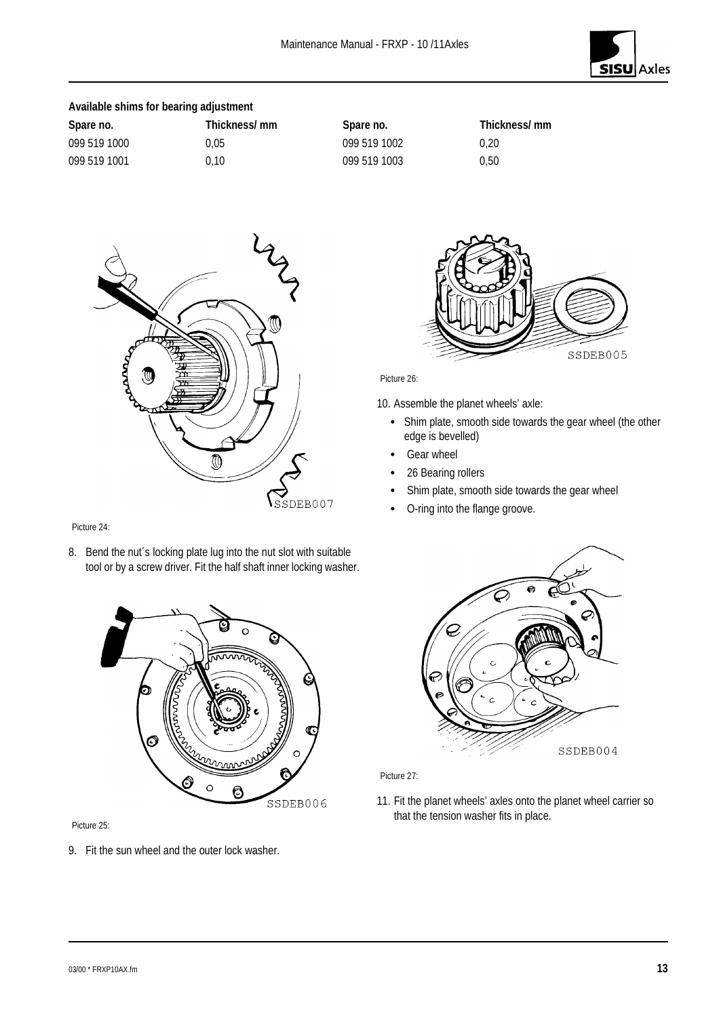

| Available shims for bearing adjustment |  |
|----------------------------------------|--|
|----------------------------------------|--|

| Spare no.    | Thickness/ mm | Spare no.    | Thickness/ mm |
|--------------|---------------|--------------|---------------|
| 099 519 1000 | 0.05          | 099 519 1002 | 0.20          |
| 099 519 1001 | 0.10          | 099 519 1003 | 0.50          |



Picture 24:

8. Bend the nut´s locking plate lug into the nut slot with suitable tool or by a screw driver. Fit the half shaft inner locking washer.



Picture 25:

9. Fit the sun wheel and the outer lock washer.



Picture 26:

10. Assemble the planet wheels' axle:

- **•** Shim plate, smooth side towards the gear wheel (the other edge is bevelled)
- **•** Gear wheel
- **•** 26 Bearing rollers
- **•** Shim plate, smooth side towards the gear wheel
- **•** O-ring into the flange groove.



Picture 27:

11. Fit the planet wheels' axles onto the planet wheel carrier so that the tension washer fits in place.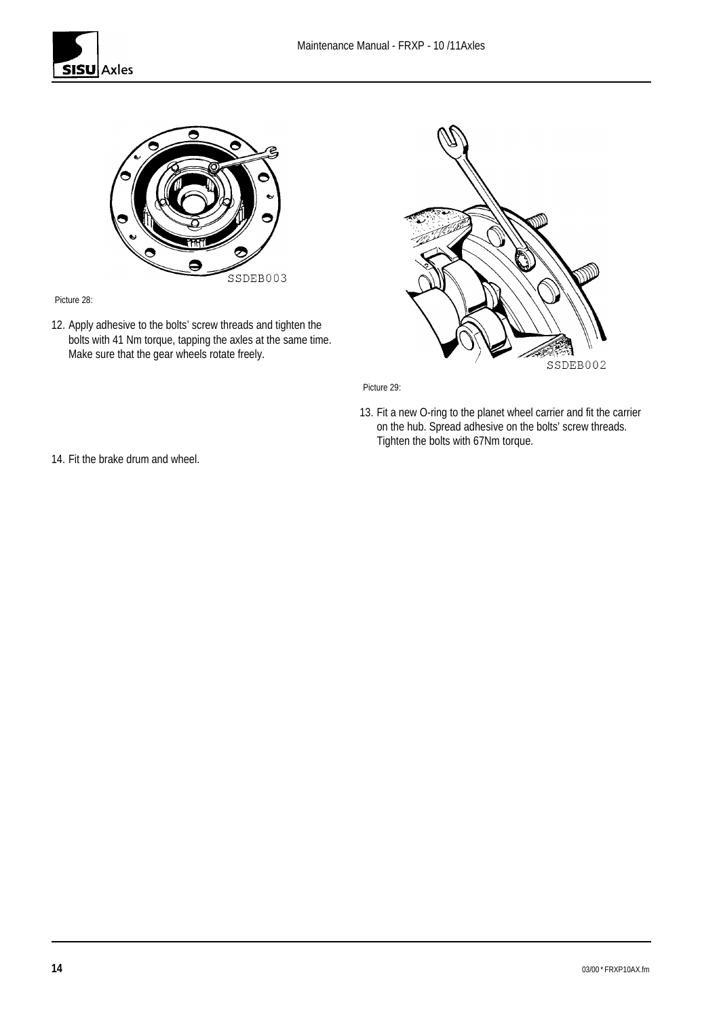



Picture 28:

12. Apply adhesive to the bolts' screw threads and tighten the bolts with 41 Nm torque, tapping the axles at the same time. Make sure that the gear wheels rotate freely.



Picture 29:

13. Fit a new O-ring to the planet wheel carrier and fit the carrier on the hub. Spread adhesive on the bolts' screw threads. Tighten the bolts with 67Nm torque.

14. Fit the brake drum and wheel.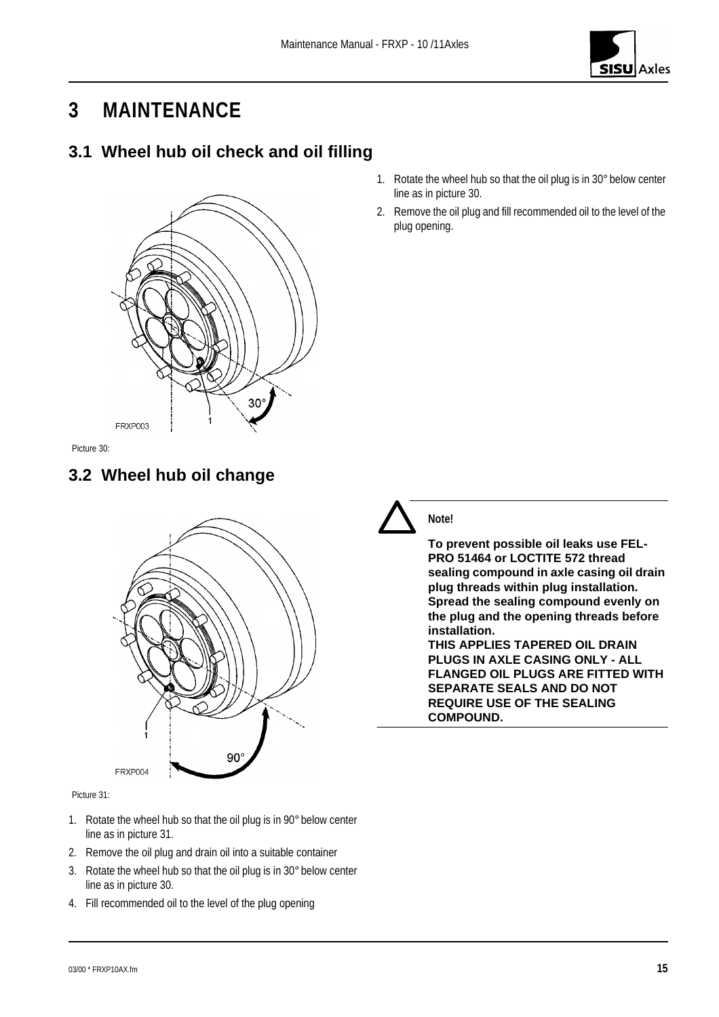

## <span id="page-16-0"></span>**3 MAINTENANCE**

#### <span id="page-16-1"></span>**3.1 Wheel hub oil check and oil filling**



- 1. Rotate the wheel hub so that the oil plug is in 30° below center line as in picture [30.](#page-16-3)
- 2. Remove the oil plug and fill recommended oil to the level of the plug opening.

<span id="page-16-3"></span>Picture 30:

#### <span id="page-16-2"></span>**3.2 Wheel hub oil change**



#### <span id="page-16-4"></span>Picture 31:

- 1. Rotate the wheel hub so that the oil plug is in 90° below center line as in picture [31.](#page-16-4)
- 2. Remove the oil plug and drain oil into a suitable container
- 3. Rotate the wheel hub so that the oil plug is in 30° below center line as in picture [30.](#page-16-3)
- 4. Fill recommended oil to the level of the plug opening

## **Note!**

**To prevent possible oil leaks use FEL-PRO 51464 or LOCTITE 572 thread sealing compound in axle casing oil drain plug threads within plug installation. Spread the sealing compound evenly on the plug and the opening threads before installation.**

**THIS APPLIES TAPERED OIL DRAIN PLUGS IN AXLE CASING ONLY - ALL FLANGED OIL PLUGS ARE FITTED WITH SEPARATE SEALS AND DO NOT REQUIRE USE OF THE SEALING COMPOUND.**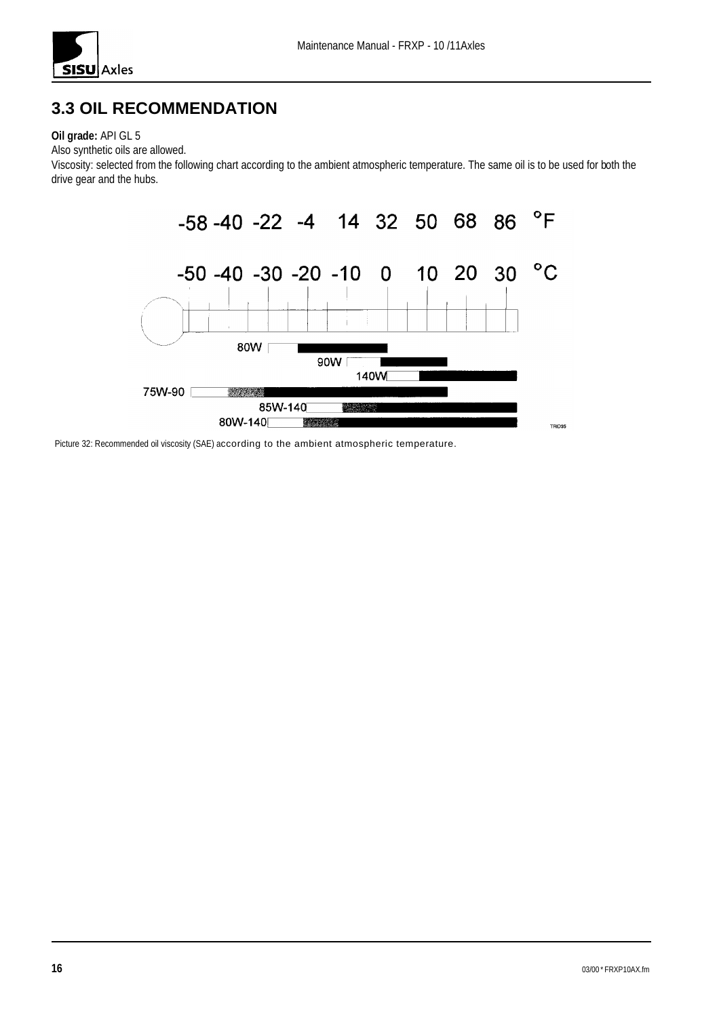

#### <span id="page-17-0"></span>**3.3 OIL RECOMMENDATION**

#### **Oil grade:** API GL 5

Also synthetic oils are allowed.

Viscosity: selected from the following chart according to the ambient atmospheric temperature. The same oil is to be used for both the drive gear and the hubs.



Picture 32: Recommended oil viscosity (SAE) according to the ambient atmospheric temperature.